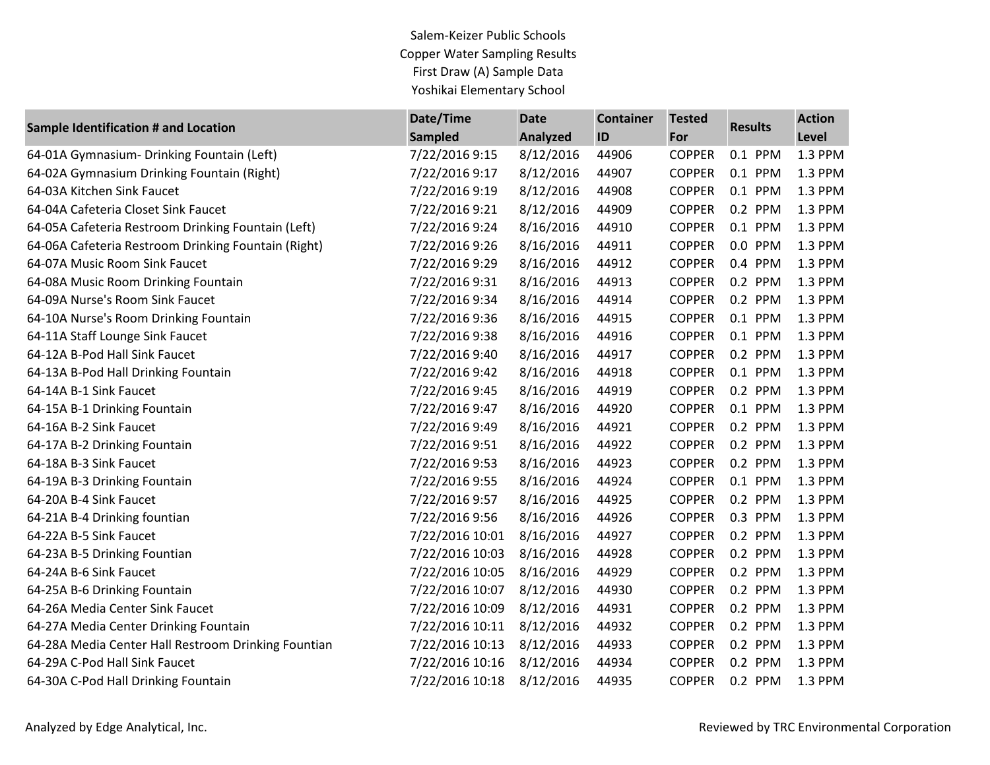Salem-Keizer Public Schools Copper Water Sampling Results First Draw (A) Sample Data Yoshikai Elementary School

| <b>Sample Identification # and Location</b>         | Date/Time       | <b>Date</b>     | <b>Container</b> | <b>Tested</b> | <b>Results</b> | <b>Action</b> |
|-----------------------------------------------------|-----------------|-----------------|------------------|---------------|----------------|---------------|
|                                                     | <b>Sampled</b>  | <b>Analyzed</b> | ID               | For           |                | Level         |
| 64-01A Gymnasium- Drinking Fountain (Left)          | 7/22/2016 9:15  | 8/12/2016       | 44906            | <b>COPPER</b> | 0.1 PPM        | 1.3 PPM       |
| 64-02A Gymnasium Drinking Fountain (Right)          | 7/22/2016 9:17  | 8/12/2016       | 44907            | <b>COPPER</b> | 0.1 PPM        | 1.3 PPM       |
| 64-03A Kitchen Sink Faucet                          | 7/22/2016 9:19  | 8/12/2016       | 44908            | <b>COPPER</b> | 0.1 PPM        | 1.3 PPM       |
| 64-04A Cafeteria Closet Sink Faucet                 | 7/22/2016 9:21  | 8/12/2016       | 44909            | <b>COPPER</b> | 0.2 PPM        | 1.3 PPM       |
| 64-05A Cafeteria Restroom Drinking Fountain (Left)  | 7/22/2016 9:24  | 8/16/2016       | 44910            | <b>COPPER</b> | 0.1 PPM        | 1.3 PPM       |
| 64-06A Cafeteria Restroom Drinking Fountain (Right) | 7/22/2016 9:26  | 8/16/2016       | 44911            | <b>COPPER</b> | 0.0 PPM        | 1.3 PPM       |
| 64-07A Music Room Sink Faucet                       | 7/22/2016 9:29  | 8/16/2016       | 44912            | <b>COPPER</b> | 0.4 PPM        | 1.3 PPM       |
| 64-08A Music Room Drinking Fountain                 | 7/22/2016 9:31  | 8/16/2016       | 44913            | <b>COPPER</b> | 0.2 PPM        | 1.3 PPM       |
| 64-09A Nurse's Room Sink Faucet                     | 7/22/2016 9:34  | 8/16/2016       | 44914            | <b>COPPER</b> | 0.2 PPM        | 1.3 PPM       |
| 64-10A Nurse's Room Drinking Fountain               | 7/22/2016 9:36  | 8/16/2016       | 44915            | <b>COPPER</b> | 0.1 PPM        | 1.3 PPM       |
| 64-11A Staff Lounge Sink Faucet                     | 7/22/2016 9:38  | 8/16/2016       | 44916            | <b>COPPER</b> | 0.1 PPM        | 1.3 PPM       |
| 64-12A B-Pod Hall Sink Faucet                       | 7/22/2016 9:40  | 8/16/2016       | 44917            | <b>COPPER</b> | 0.2 PPM        | 1.3 PPM       |
| 64-13A B-Pod Hall Drinking Fountain                 | 7/22/2016 9:42  | 8/16/2016       | 44918            | <b>COPPER</b> | 0.1 PPM        | 1.3 PPM       |
| 64-14A B-1 Sink Faucet                              | 7/22/2016 9:45  | 8/16/2016       | 44919            | <b>COPPER</b> | 0.2 PPM        | 1.3 PPM       |
| 64-15A B-1 Drinking Fountain                        | 7/22/2016 9:47  | 8/16/2016       | 44920            | <b>COPPER</b> | 0.1 PPM        | 1.3 PPM       |
| 64-16A B-2 Sink Faucet                              | 7/22/2016 9:49  | 8/16/2016       | 44921            | <b>COPPER</b> | 0.2 PPM        | 1.3 PPM       |
| 64-17A B-2 Drinking Fountain                        | 7/22/2016 9:51  | 8/16/2016       | 44922            | <b>COPPER</b> | 0.2 PPM        | 1.3 PPM       |
| 64-18A B-3 Sink Faucet                              | 7/22/2016 9:53  | 8/16/2016       | 44923            | <b>COPPER</b> | 0.2 PPM        | 1.3 PPM       |
| 64-19A B-3 Drinking Fountain                        | 7/22/2016 9:55  | 8/16/2016       | 44924            | <b>COPPER</b> | 0.1 PPM        | 1.3 PPM       |
| 64-20A B-4 Sink Faucet                              | 7/22/2016 9:57  | 8/16/2016       | 44925            | <b>COPPER</b> | 0.2 PPM        | 1.3 PPM       |
| 64-21A B-4 Drinking fountian                        | 7/22/2016 9:56  | 8/16/2016       | 44926            | <b>COPPER</b> | 0.3 PPM        | 1.3 PPM       |
| 64-22A B-5 Sink Faucet                              | 7/22/2016 10:01 | 8/16/2016       | 44927            | <b>COPPER</b> | 0.2 PPM        | 1.3 PPM       |
| 64-23A B-5 Drinking Fountian                        | 7/22/2016 10:03 | 8/16/2016       | 44928            | <b>COPPER</b> | 0.2 PPM        | 1.3 PPM       |
| 64-24A B-6 Sink Faucet                              | 7/22/2016 10:05 | 8/16/2016       | 44929            | <b>COPPER</b> | 0.2 PPM        | 1.3 PPM       |
| 64-25A B-6 Drinking Fountain                        | 7/22/2016 10:07 | 8/12/2016       | 44930            | <b>COPPER</b> | 0.2 PPM        | 1.3 PPM       |
| 64-26A Media Center Sink Faucet                     | 7/22/2016 10:09 | 8/12/2016       | 44931            | <b>COPPER</b> | 0.2 PPM        | 1.3 PPM       |
| 64-27A Media Center Drinking Fountain               | 7/22/2016 10:11 | 8/12/2016       | 44932            | <b>COPPER</b> | 0.2 PPM        | 1.3 PPM       |
| 64-28A Media Center Hall Restroom Drinking Fountian | 7/22/2016 10:13 | 8/12/2016       | 44933            | <b>COPPER</b> | 0.2 PPM        | 1.3 PPM       |
| 64-29A C-Pod Hall Sink Faucet                       | 7/22/2016 10:16 | 8/12/2016       | 44934            | <b>COPPER</b> | 0.2 PPM        | 1.3 PPM       |
| 64-30A C-Pod Hall Drinking Fountain                 | 7/22/2016 10:18 | 8/12/2016       | 44935            | <b>COPPER</b> | 0.2 PPM        | 1.3 PPM       |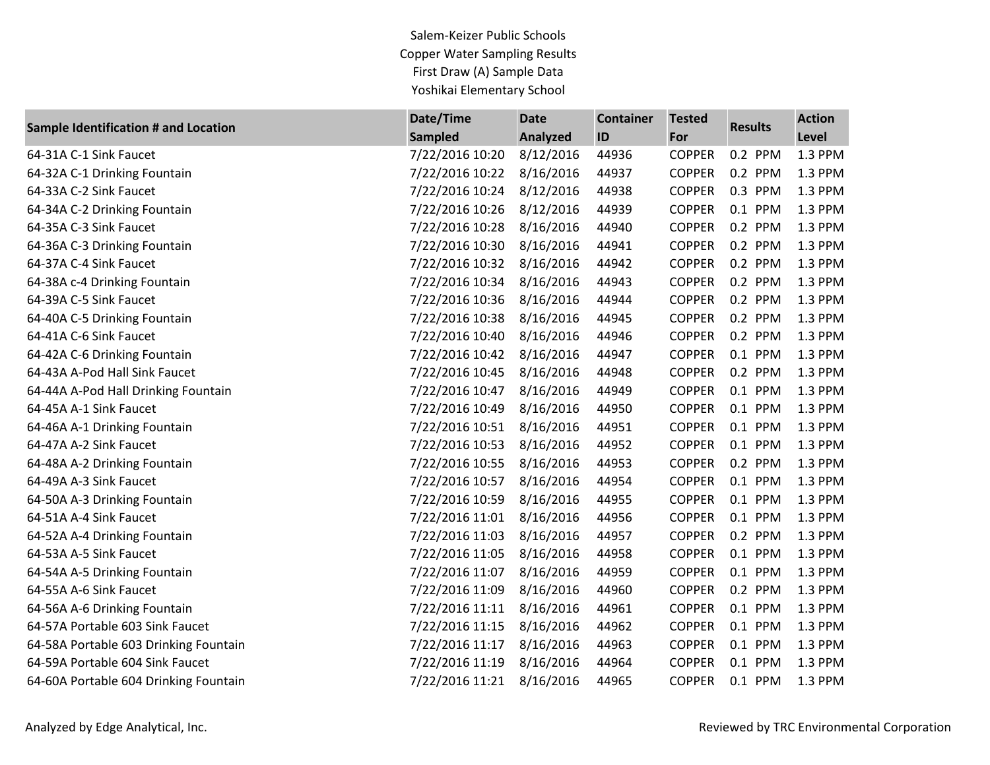Salem-Keizer Public Schools Copper Water Sampling Results First Draw (A) Sample Data Yoshikai Elementary School

| <b>Sample Identification # and Location</b> | Date/Time       | <b>Date</b>     | <b>Container</b> | <b>Tested</b> | <b>Results</b> | <b>Action</b> |
|---------------------------------------------|-----------------|-----------------|------------------|---------------|----------------|---------------|
|                                             | <b>Sampled</b>  | <b>Analyzed</b> | ID               | For           |                | <b>Level</b>  |
| 64-31A C-1 Sink Faucet                      | 7/22/2016 10:20 | 8/12/2016       | 44936            | <b>COPPER</b> | 0.2 PPM        | 1.3 PPM       |
| 64-32A C-1 Drinking Fountain                | 7/22/2016 10:22 | 8/16/2016       | 44937            | <b>COPPER</b> | 0.2 PPM        | 1.3 PPM       |
| 64-33A C-2 Sink Faucet                      | 7/22/2016 10:24 | 8/12/2016       | 44938            | <b>COPPER</b> | 0.3 PPM        | 1.3 PPM       |
| 64-34A C-2 Drinking Fountain                | 7/22/2016 10:26 | 8/12/2016       | 44939            | <b>COPPER</b> | 0.1 PPM        | 1.3 PPM       |
| 64-35A C-3 Sink Faucet                      | 7/22/2016 10:28 | 8/16/2016       | 44940            | <b>COPPER</b> | 0.2 PPM        | 1.3 PPM       |
| 64-36A C-3 Drinking Fountain                | 7/22/2016 10:30 | 8/16/2016       | 44941            | <b>COPPER</b> | 0.2 PPM        | 1.3 PPM       |
| 64-37A C-4 Sink Faucet                      | 7/22/2016 10:32 | 8/16/2016       | 44942            | <b>COPPER</b> | 0.2 PPM        | 1.3 PPM       |
| 64-38A c-4 Drinking Fountain                | 7/22/2016 10:34 | 8/16/2016       | 44943            | <b>COPPER</b> | 0.2 PPM        | 1.3 PPM       |
| 64-39A C-5 Sink Faucet                      | 7/22/2016 10:36 | 8/16/2016       | 44944            | <b>COPPER</b> | 0.2 PPM        | 1.3 PPM       |
| 64-40A C-5 Drinking Fountain                | 7/22/2016 10:38 | 8/16/2016       | 44945            | <b>COPPER</b> | 0.2 PPM        | 1.3 PPM       |
| 64-41A C-6 Sink Faucet                      | 7/22/2016 10:40 | 8/16/2016       | 44946            | <b>COPPER</b> | 0.2 PPM        | 1.3 PPM       |
| 64-42A C-6 Drinking Fountain                | 7/22/2016 10:42 | 8/16/2016       | 44947            | <b>COPPER</b> | 0.1 PPM        | 1.3 PPM       |
| 64-43A A-Pod Hall Sink Faucet               | 7/22/2016 10:45 | 8/16/2016       | 44948            | <b>COPPER</b> | 0.2 PPM        | 1.3 PPM       |
| 64-44A A-Pod Hall Drinking Fountain         | 7/22/2016 10:47 | 8/16/2016       | 44949            | <b>COPPER</b> | 0.1 PPM        | 1.3 PPM       |
| 64-45A A-1 Sink Faucet                      | 7/22/2016 10:49 | 8/16/2016       | 44950            | <b>COPPER</b> | 0.1 PPM        | 1.3 PPM       |
| 64-46A A-1 Drinking Fountain                | 7/22/2016 10:51 | 8/16/2016       | 44951            | <b>COPPER</b> | 0.1 PPM        | 1.3 PPM       |
| 64-47A A-2 Sink Faucet                      | 7/22/2016 10:53 | 8/16/2016       | 44952            | <b>COPPER</b> | 0.1 PPM        | 1.3 PPM       |
| 64-48A A-2 Drinking Fountain                | 7/22/2016 10:55 | 8/16/2016       | 44953            | <b>COPPER</b> | 0.2 PPM        | 1.3 PPM       |
| 64-49A A-3 Sink Faucet                      | 7/22/2016 10:57 | 8/16/2016       | 44954            | <b>COPPER</b> | 0.1 PPM        | 1.3 PPM       |
| 64-50A A-3 Drinking Fountain                | 7/22/2016 10:59 | 8/16/2016       | 44955            | <b>COPPER</b> | 0.1 PPM        | 1.3 PPM       |
| 64-51A A-4 Sink Faucet                      | 7/22/2016 11:01 | 8/16/2016       | 44956            | <b>COPPER</b> | 0.1 PPM        | 1.3 PPM       |
| 64-52A A-4 Drinking Fountain                | 7/22/2016 11:03 | 8/16/2016       | 44957            | <b>COPPER</b> | 0.2 PPM        | 1.3 PPM       |
| 64-53A A-5 Sink Faucet                      | 7/22/2016 11:05 | 8/16/2016       | 44958            | <b>COPPER</b> | 0.1 PPM        | 1.3 PPM       |
| 64-54A A-5 Drinking Fountain                | 7/22/2016 11:07 | 8/16/2016       | 44959            | <b>COPPER</b> | 0.1 PPM        | 1.3 PPM       |
| 64-55A A-6 Sink Faucet                      | 7/22/2016 11:09 | 8/16/2016       | 44960            | <b>COPPER</b> | 0.2 PPM        | 1.3 PPM       |
| 64-56A A-6 Drinking Fountain                | 7/22/2016 11:11 | 8/16/2016       | 44961            | <b>COPPER</b> | 0.1 PPM        | 1.3 PPM       |
| 64-57A Portable 603 Sink Faucet             | 7/22/2016 11:15 | 8/16/2016       | 44962            | <b>COPPER</b> | 0.1 PPM        | 1.3 PPM       |
| 64-58A Portable 603 Drinking Fountain       | 7/22/2016 11:17 | 8/16/2016       | 44963            | <b>COPPER</b> | 0.1 PPM        | 1.3 PPM       |
| 64-59A Portable 604 Sink Faucet             | 7/22/2016 11:19 | 8/16/2016       | 44964            | <b>COPPER</b> | 0.1 PPM        | 1.3 PPM       |
| 64-60A Portable 604 Drinking Fountain       | 7/22/2016 11:21 | 8/16/2016       | 44965            | <b>COPPER</b> | 0.1 PPM        | 1.3 PPM       |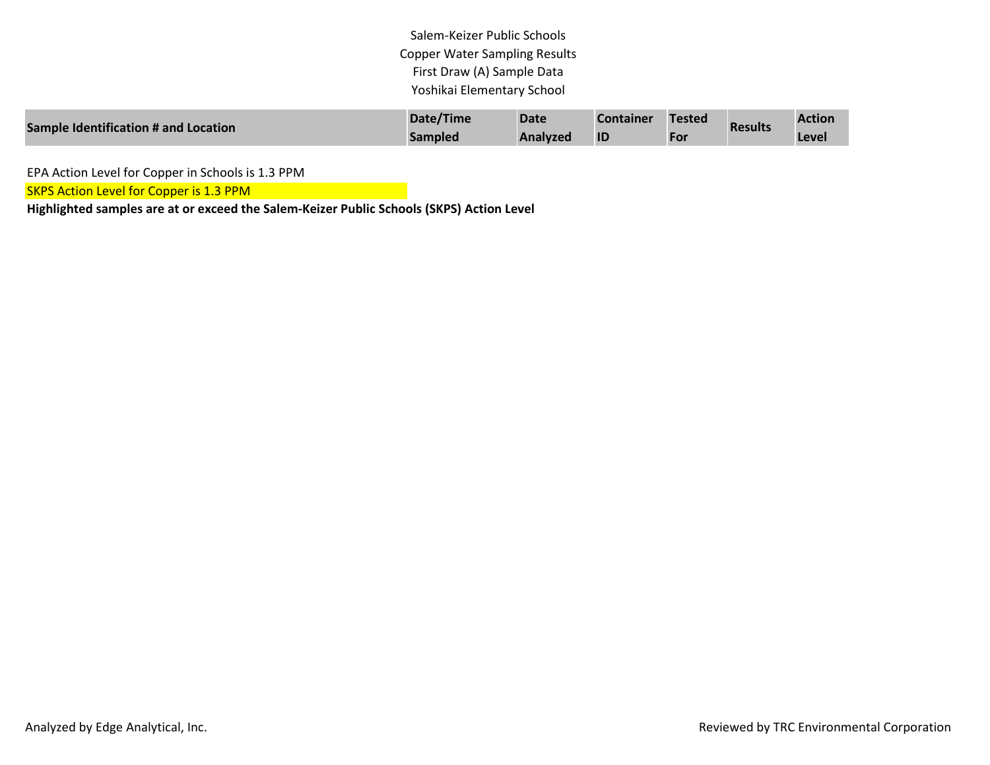Salem-Keizer Public Schools Copper Water Sampling Results First Draw (A) Sample Data Yoshikai Elementary School

| Sample Identification # and Location | Date/Time | <b>Date</b> | <b>Container</b> | <b>Tested</b> | <b>Results</b> | <b>Action</b> |
|--------------------------------------|-----------|-------------|------------------|---------------|----------------|---------------|
|                                      | Sampled   | Analyzed    | ID               | For           |                | Level         |

EPA Action Level for Copper in Schools is 1.3 PPM

**SKPS Action Level for Copper is 1.3 PPM** 

**Highlighted samples are at or exceed the Salem-Keizer Public Schools (SKPS) Action Level**